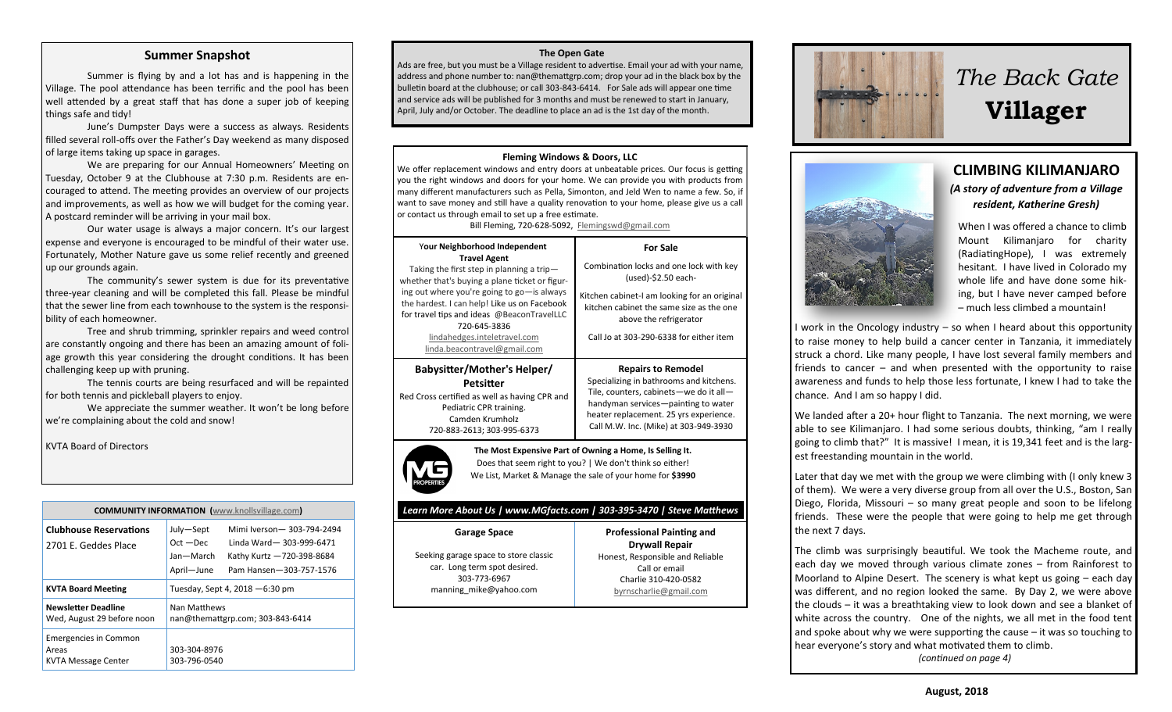#### **Summer Snapshot**

Summer is flying by and a lot has and is happening in the Village. The pool attendance has been terrific and the pool has been well attended by a great staff that has done a super job of keeping things safe and tidy!

June's Dumpster Days were a success as always. Residents filled several roll-offs over the Father's Day weekend as many disposed of large items taking up space in garages.

We are preparing for our Annual Homeowners' Meeting on Tuesday, October 9 at the Clubhouse at 7:30 p.m. Residents are en couraged to attend. The meeting provides an overview of our projects and improvements, as well as how we will budget for the coming year. A postcard reminder will be arriving in your mail box.

Our water usage is always a major concern. It's our largest expense and everyone is encouraged to be mindful of their water use. Fortunately, Mother Nature gave us some relief recently and greened up our grounds again.

The community's sewer system is due for its preventative three-year cleaning and will be completed this fall. Please be mindful that the sewer line from each townhouse to the system is the responsi bility of each homeowner.

Tree and shrub trimming, sprinkler repairs and weed control are constantly ongoing and there has been an amazing amount of foli age growth this year considering the drought conditions. It has been challenging keep up with pruning.

The tennis courts are being resurfaced and will be repainted for both tennis and pickleball players to enjoy.

We appreciate the summer weather. It won't be long before we're complaining about the cold and snow!

KVTA Board of Directors

| <b>COMMUNITY INFORMATION</b> (www.knollsvillage.com)                |                                                     |                                                                                                                |
|---------------------------------------------------------------------|-----------------------------------------------------|----------------------------------------------------------------------------------------------------------------|
| <b>Clubhouse Reservations</b><br>2701 E. Geddes Place               | July-Sept<br>$Oct - Dec$<br>Jan-March<br>April-June | Mimi Iverson - 303-794-2494<br>Linda Ward-303-999-6471<br>Kathy Kurtz -720-398-8684<br>Pam Hansen-303-757-1576 |
| <b>KVTA Board Meeting</b>                                           | Tuesday, Sept 4, 2018 - 6:30 pm                     |                                                                                                                |
| <b>Newsletter Deadline</b><br>Wed, August 29 before noon            | Nan Matthews<br>nan@themattgrp.com; 303-843-6414    |                                                                                                                |
| <b>Emergencies in Common</b><br>Areas<br><b>KVTA Message Center</b> | 303-304-8976<br>303-796-0540                        |                                                                                                                |

#### **The Open Gate**

Ads are free, but you must be a Village resident to advertise. Email your ad with your name, address and phone number to: nan@themattgrp.com; drop your ad in the black box by the bulletin board at the clubhouse; or call 303-843-6414. For Sale ads will appear one time and service ads will be published for 3 months and must be renewed to start in January, April, July and/or October. The deadline to place an ad is the 1st day of the month.

#### **Fleming Windows & Doors, LLC**

We offer replacement windows and entry doors at unbeatable prices. Our focus is getting you the right windows and doors for your home. We can provide you with products from many different manufacturers such as Pella, Simonton, and Jeld Wen to name a few. So, if want to save money and still have a quality renovation to your home, please give us a call or contact us through email to set up a free estimate.

Bill Fleming, 720-628-5092, [Flemingswd@gmail.com](mailto:Flemingswd@gmail.com)

| Your Neighborhood Independent<br><b>Travel Agent</b>                                                                                                                                                                                                                                                                    | <b>For Sale</b>                                                                                                                                                                                                                          |  |
|-------------------------------------------------------------------------------------------------------------------------------------------------------------------------------------------------------------------------------------------------------------------------------------------------------------------------|------------------------------------------------------------------------------------------------------------------------------------------------------------------------------------------------------------------------------------------|--|
| Taking the first step in planning a trip-<br>whether that's buying a plane ticket or figur-<br>ing out where you're going to go-is always<br>the hardest. I can help! Like us on Facebook<br>for travel tips and ideas @BeaconTravelLLC<br>720-645-3836<br>lindahedges.inteletravel.com<br>linda.beacontravel@gmail.com | Combination locks and one lock with key<br>(used)-\$2.50 each-                                                                                                                                                                           |  |
|                                                                                                                                                                                                                                                                                                                         | Kitchen cabinet-I am looking for an original<br>kitchen cabinet the same size as the one<br>above the refrigerator<br>Call Jo at 303-290-6338 for either item                                                                            |  |
| Babysitter/Mother's Helper/<br>Petsitter<br>Red Cross certified as well as having CPR and<br>Pediatric CPR training.<br>Camden Krumholz<br>720-883-2613; 303-995-6373                                                                                                                                                   | <b>Repairs to Remodel</b><br>Specializing in bathrooms and kitchens.<br>Tile, counters, cabinets-we do it all-<br>handyman services-painting to water<br>heater replacement. 25 yrs experience.<br>Call M.W. Inc. (Mike) at 303-949-3930 |  |



**The Most Expensive Part of Owning a Home, Is Selling It.** Does that seem right to you? | We don't think so either! We List, Market & Manage the sale of your home for **\$3990**

> **Professional Painting and Drywall Repair** Honest, Responsible and Reliable Call or email Charlie 310-420-0582 [byrnscharlie@gmail.com](mailto:byrnscharlie@gmail.com)

#### *Learn More About Us | www.MGfacts.com | 303-395-3470 | Steve Matthews*

**Garage Space** Seeking garage space to store classic car. Long term spot desired. 303-773-[6967](tel:303-773-6967) [manning\\_mike@yahoo.com](mailto:manning_mike@yahoo.com)





## **CLIMBING KILIMANJARO** *(A story of adventure from a Village resident, Katherine Gresh)*

When I was offered a chance to climb Mount Kilimanjaro for charity (RadiatingHope), I was extremely hesitant. I have lived in Colorado my whole life and have done some hik ing, but I have never camped before – much less climbed a mountain!

I work in the Oncology industry – so when I heard about this opportunity to raise money to help build a cancer center in Tanzania, it immediately struck a chord. Like many people, I have lost several family members and friends to cancer – and when presented with the opportunity to raise awareness and funds to help those less fortunate, I knew I had to take the chance. And I am so happy I did.

We landed after a 20+ hour flight to Tanzania. The next morning, we were able to see Kilimanjaro. I had some serious doubts, thinking, "am I really going to climb that?" It is massive! I mean, it is 19,341 feet and is the larg est freestanding mountain in the world.

Later that day we met with the group we were climbing with (I only knew 3 of them). We were a very diverse group from all over the U.S., Boston, San Diego, Florida, Missouri – so many great people and soon to be lifelong friends. These were the people that were going to help me get through the next 7 days.

The climb was surprisingly beautiful. We took the Macheme route, and each day we moved through various climate zones – from Rainforest to Moorland to Alpine Desert. The scenery is what kept us going – each day was different, and no region looked the same. By Day 2, we were above the clouds – it was a breathtaking view to look down and see a blanket of white across the country. One of the nights, we all met in the food tent and spoke about why we were supporting the cause – it was so touching to hear everyone's story and what motivated them to climb.

*(continued on page 4)*